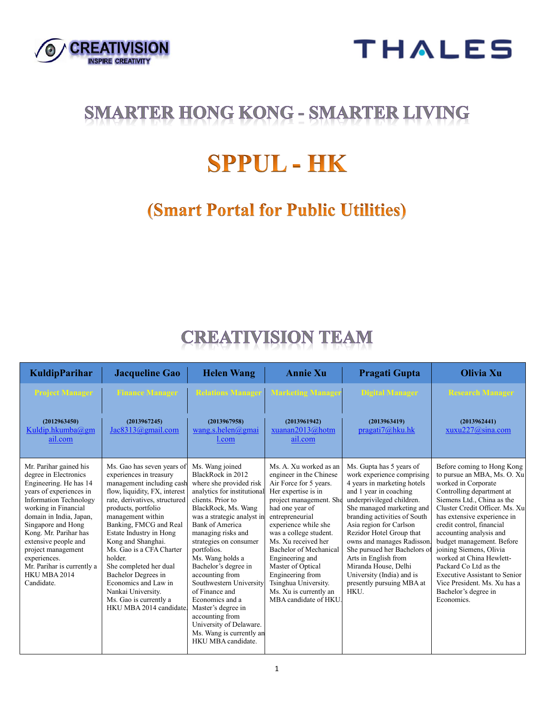



## **SMARTER HONG KONG - SMARTER LIVING**

# **SPPUL - HK**

## **(Smart Portal for Public Utilities)**

## **CREATIVISION TEAM**

| <b>KuldipParihar</b>                                                                                                                                                                                                                                                                                                                                              | <b>Jacqueline Gao</b>                                                                                                                                                                                                                                                                                                                                                                                                                                                  | <b>Helen Wang</b>                                                                                                                                                                                                                                                                                                                                                                                                                                                                                                      | <b>Annie Xu</b>                                                                                                                                                                                                                                                                                                                                                                                               | Pragati Gupta                                                                                                                                                                                                                                                                                                                                                                                                                                    | <b>Olivia Xu</b>                                                                                                                                                                                                                                                                                                                                                                                                                                                                                |
|-------------------------------------------------------------------------------------------------------------------------------------------------------------------------------------------------------------------------------------------------------------------------------------------------------------------------------------------------------------------|------------------------------------------------------------------------------------------------------------------------------------------------------------------------------------------------------------------------------------------------------------------------------------------------------------------------------------------------------------------------------------------------------------------------------------------------------------------------|------------------------------------------------------------------------------------------------------------------------------------------------------------------------------------------------------------------------------------------------------------------------------------------------------------------------------------------------------------------------------------------------------------------------------------------------------------------------------------------------------------------------|---------------------------------------------------------------------------------------------------------------------------------------------------------------------------------------------------------------------------------------------------------------------------------------------------------------------------------------------------------------------------------------------------------------|--------------------------------------------------------------------------------------------------------------------------------------------------------------------------------------------------------------------------------------------------------------------------------------------------------------------------------------------------------------------------------------------------------------------------------------------------|-------------------------------------------------------------------------------------------------------------------------------------------------------------------------------------------------------------------------------------------------------------------------------------------------------------------------------------------------------------------------------------------------------------------------------------------------------------------------------------------------|
| <b>Project Manager</b>                                                                                                                                                                                                                                                                                                                                            | <b>Finance Manager</b>                                                                                                                                                                                                                                                                                                                                                                                                                                                 |                                                                                                                                                                                                                                                                                                                                                                                                                                                                                                                        | <b>Relations Manager   Marketing Manager</b>                                                                                                                                                                                                                                                                                                                                                                  | <b>Digital Manager</b>                                                                                                                                                                                                                                                                                                                                                                                                                           | <b>Research Manager</b>                                                                                                                                                                                                                                                                                                                                                                                                                                                                         |
| (2012963450)<br>Kuldip.hkumba@gm<br>ail.com                                                                                                                                                                                                                                                                                                                       | (2013967245)<br>Jac8313@gmail.com                                                                                                                                                                                                                                                                                                                                                                                                                                      | (2013967958)<br>wang.s.helen@gmai<br>l.com                                                                                                                                                                                                                                                                                                                                                                                                                                                                             | (2013961942)<br>xuanan2013@hotm<br>ail.com                                                                                                                                                                                                                                                                                                                                                                    | (2013963419)<br>pragati7@hku.hk                                                                                                                                                                                                                                                                                                                                                                                                                  | (2013962441)<br>xuxu227@sina.com                                                                                                                                                                                                                                                                                                                                                                                                                                                                |
| Mr. Parihar gained his<br>degree in Electronics<br>Engineering. He has 14<br>years of experiences in<br><b>Information Technology</b><br>working in Financial<br>domain in India, Japan,<br>Singapore and Hong<br>Kong. Mr. Parihar has<br>extensive people and<br>project management<br>experiences.<br>Mr. Parihar is currently a<br>HKU MBA 2014<br>Candidate. | Ms. Gao has seven years of<br>experiences in treasury<br>management including cash<br>flow, liquidity, FX, interest<br>rate, derivatives, structured<br>products, portfolio<br>management within<br>Banking, FMCG and Real<br>Estate Industry in Hong<br>Kong and Shanghai.<br>Ms. Gao is a CFA Charter<br>holder.<br>She completed her dual<br>Bachelor Degrees in<br>Economics and Law in<br>Nankai University.<br>Ms. Gao is currently a<br>HKU MBA 2014 candidate. | Ms. Wang joined<br>BlackRock in 2012<br>where she provided risk<br>analytics for institutional<br>clients. Prior to<br>BlackRock, Ms. Wang<br>was a strategic analyst in<br><b>Bank of America</b><br>managing risks and<br>strategies on consumer<br>portfolios.<br>Ms. Wang holds a<br>Bachelor's degree in<br>accounting from<br>Southwestern University<br>of Finance and<br>Economics and a<br>Master's degree in<br>accounting from<br>University of Delaware.<br>Ms. Wang is currently an<br>HKU MBA candidate. | Ms. A. Xu worked as an<br>engineer in the Chinese<br>Air Force for 5 years.<br>Her expertise is in<br>project management. She<br>had one year of<br>entrepreneurial<br>experience while she<br>was a college student.<br>Ms. Xu received her<br>Bachelor of Mechanical<br>Engineering and<br>Master of Optical<br>Engineering from<br>Tsinghua University.<br>Ms. Xu is currently an<br>MBA candidate of HKU. | Ms. Gupta has 5 years of<br>work experience comprising<br>4 years in marketing hotels<br>and 1 year in coaching<br>underprivileged children.<br>She managed marketing and<br>branding activities of South<br>Asia region for Carlson<br>Rezidor Hotel Group that<br>owns and manages Radisson.<br>She pursued her Bachelors of<br>Arts in English from<br>Miranda House, Delhi<br>University (India) and is<br>presently pursuing MBA at<br>HKU. | Before coming to Hong Kong<br>to pursue an MBA, Ms. O. Xu<br>worked in Corporate<br>Controlling department at<br>Siemens Ltd., China as the<br>Cluster Credit Officer, Ms. Xu<br>has extensive experience in<br>credit control, financial<br>accounting analysis and<br>budget management. Before<br>joining Siemens, Olivia<br>worked at China Hewlett-<br>Packard Co Ltd as the<br><b>Executive Assistant to Senior</b><br>Vice President, Ms. Xu has a<br>Bachelor's degree in<br>Economics. |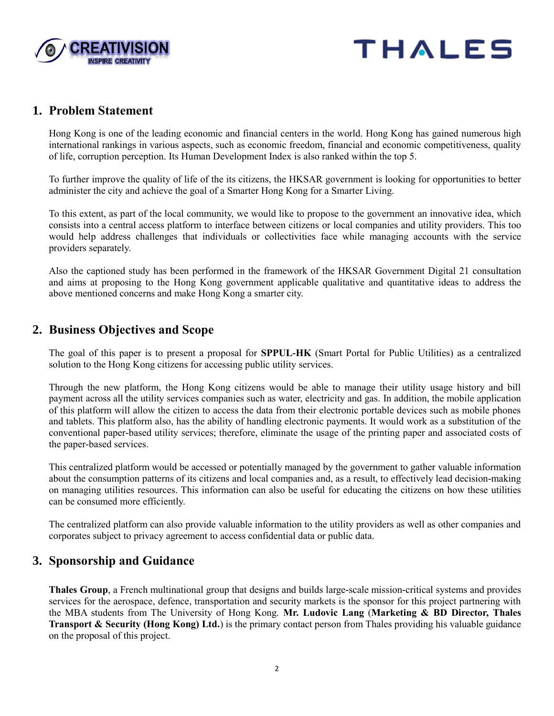



### **1. Problem Statement**

Hong Kong is one of the leading economic and financial centers in the world. Hong Kong has gained numerous high international rankings in various aspects, such as economic freedom, financial and economic competitiveness, quality of life, corruption perception. Its Human Development Index is also ranked within the top 5.

To further improve the quality of life of the its citizens, the HKSAR government is looking for opportunities to better administer the city and achieve the goal of a Smarter Hong Kong for a Smarter Living.

To this extent, as part of the local community, we would like to propose to the government an innovative idea, which consists into a central access platform to interface between citizens or local companies and utility providers. This too would help address challenges that individuals or collectivities face while managing accounts with the service providers separately.

Also the captioned study has been performed in the framework of the HKSAR Government Digital 21 consultation and aims at proposing to the Hong Kong government applicable qualitative and quantitative ideas to address the above mentioned concerns and make Hong Kong a smarter city.

## **2. Business Objectives and Scope**

The goal of this paper is to present a proposal for **SPPUL-HK** (Smart Portal for Public Utilities) as a centralized solution to the Hong Kong citizens for accessing public utility services.

Through the new platform, the Hong Kong citizens would be able to manage their utility usage history and bill payment across all the utility services companies such as water, electricity and gas. In addition, the mobile application of this platform will allow the citizen to access the data from their electronic portable devices such as mobile phones and tablets. This platform also, has the ability of handling electronic payments. It would work as a substitution of the conventional paper-based utility services; therefore, eliminate the usage of the printing paper and associated costs of the paper-based services.

This centralized platform would be accessed or potentially managed by the government to gather valuable information about the consumption patterns of its citizens and local companies and, as a result, to effectively lead decision-making on managing utilities resources. This information can also be useful for educating the citizens on how these utilities can be consumed more efficiently.

The centralized platform can also provide valuable information to the utility providers as well as other companies and corporates subject to privacy agreement to access confidential data or public data.

## **3. Sponsorship and Guidance**

**Thales Group**, a French multinational group that designs and builds large-scale mission-critical systems and provides services for the aerospace, defence, transportation and security markets is the sponsor for this project partnering with the MBA students from The University of Hong Kong. **Mr. Ludovic Lang** (**Marketing & BD Director, Thales Transport & Security (Hong Kong) Ltd.**) is the primary contact person from Thales providing his valuable guidance on the proposal of this project.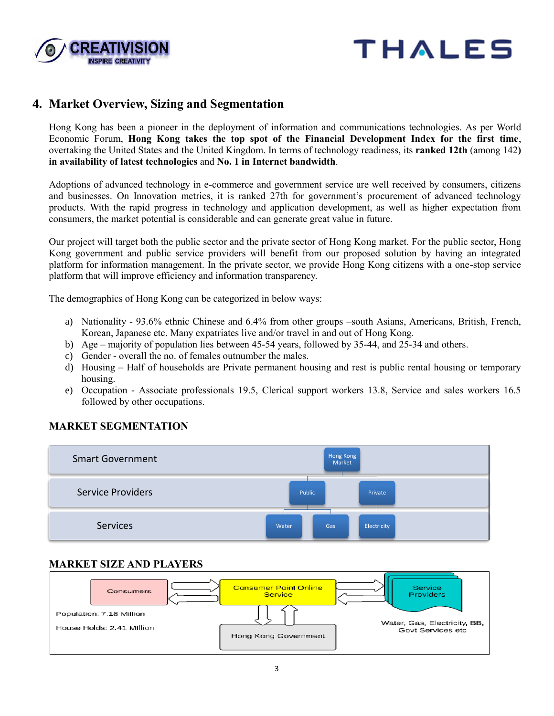



## **4. Market Overview, Sizing and Segmentation**

Hong Kong has been a pioneer in the deployment of information and communications technologies. As per World Economic Forum, **Hong Kong takes the top spot of the Financial Development Index for the first time**, overtaking the United States and the United Kingdom. In terms of technology readiness, its **ranked 12th** (among 142**) in availability of latest technologies** and **No. 1 in Internet bandwidth**.

Adoptions of advanced technology in e-commerce and government service are well received by consumers, citizens and businesses. On Innovation metrics, it is ranked 27th for government's procurement of advanced technology products. With the rapid progress in technology and application development, as well as higher expectation from consumers, the market potential is considerable and can generate great value in future.

Our project will target both the public sector and the private sector of Hong Kong market. For the public sector, Hong Kong government and public service providers will benefit from our proposed solution by having an integrated platform for information management. In the private sector, we provide Hong Kong citizens with a one-stop service platform that will improve efficiency and information transparency.

The demographics of Hong Kong can be categorized in below ways:

- a) Nationality 93.6% ethnic Chinese and 6.4% from other groups –south Asians, Americans, British, French, Korean, Japanese etc. Many expatriates live and/or travel in and out of Hong Kong.
- b) Age majority of population lies between 45-54 years, followed by 35-44, and 25-34 and others.
- c) Gender overall the no. of females outnumber the males.
- d) Housing Half of households are Private permanent housing and rest is public rental housing or temporary housing.
- e) Occupation Associate professionals 19.5, Clerical support workers 13.8, Service and sales workers 16.5 followed by other occupations.



#### **MARKET SEGMENTATION**

#### **MARKET SIZE AND PLAYERS**

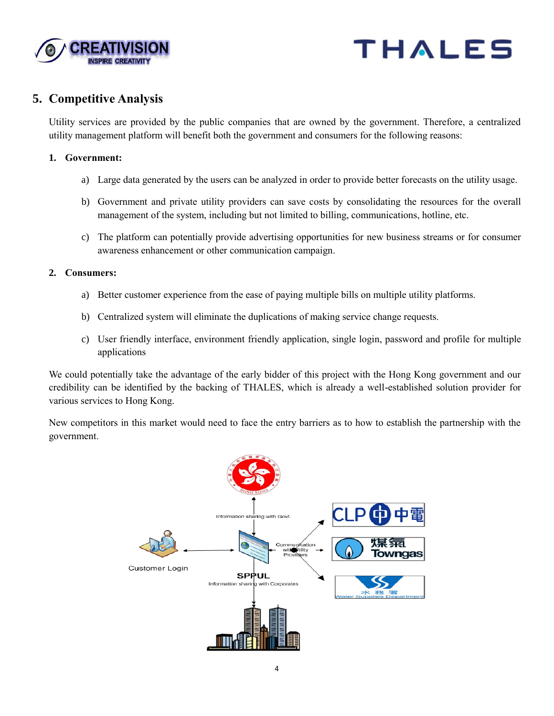



## **5. Competitive Analysis**

Utility services are provided by the public companies that are owned by the government. Therefore, a centralized utility management platform will benefit both the government and consumers for the following reasons:

#### **1. Government:**

- a) Large data generated by the users can be analyzed in order to provide better forecasts on the utility usage.
- b) Government and private utility providers can save costs by consolidating the resources for the overall management of the system, including but not limited to billing, communications, hotline, etc.
- c) The platform can potentially provide advertising opportunities for new business streams or for consumer awareness enhancement or other communication campaign.

#### **2. Consumers:**

- a) Better customer experience from the ease of paying multiple bills on multiple utility platforms.
- b) Centralized system will eliminate the duplications of making service change requests.
- c) User friendly interface, environment friendly application, single login, password and profile for multiple applications

We could potentially take the advantage of the early bidder of this project with the Hong Kong government and our credibility can be identified by the backing of THALES, which is already a well-established solution provider for various services to Hong Kong.

New competitors in this market would need to face the entry barriers as to how to establish the partnership with the government.

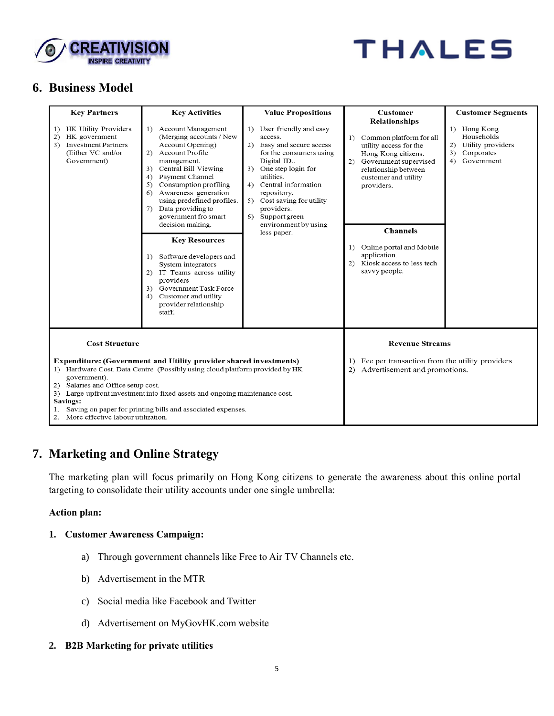



## **6. Business Model**

| <b>Key Partners</b>                                                                                                       | <b>Key Activities</b>                                                                                                                                                                                                                                                                                                                                                                                                                                                                                                                                               | <b>Value Propositions</b>                                                                                                                                                                                                                                                                            | <b>Customer</b>                                                                                                                                                                                                                                                                                                           | <b>Customer Segments</b>                                                                |  |
|---------------------------------------------------------------------------------------------------------------------------|---------------------------------------------------------------------------------------------------------------------------------------------------------------------------------------------------------------------------------------------------------------------------------------------------------------------------------------------------------------------------------------------------------------------------------------------------------------------------------------------------------------------------------------------------------------------|------------------------------------------------------------------------------------------------------------------------------------------------------------------------------------------------------------------------------------------------------------------------------------------------------|---------------------------------------------------------------------------------------------------------------------------------------------------------------------------------------------------------------------------------------------------------------------------------------------------------------------------|-----------------------------------------------------------------------------------------|--|
| HK Utility Providers<br>1)<br>HK government<br>2)<br><b>Investment Partners</b><br>3)<br>(Either VC and/or<br>Government) | Account Management<br>1)<br>(Merging accounts / New<br>Account Opening)<br>Account Profile<br>2)<br>management.<br>Central Bill Viewing<br>3)<br>Payment Channel<br>4)<br>Consumption profiling<br>5)<br>Awareness generation<br>6)<br>using predefined profiles.<br>7) Data providing to<br>government fro smart<br>decision making.<br><b>Key Resources</b><br>Software developers and<br>1)<br>System integrators<br>IT Teams across utility<br>(2)<br>providers<br>Government Task Force<br>3)<br>Customer and utility<br>4)<br>provider relationship<br>staff. | 1) User friendly and easy<br>access.<br>2) Easy and secure access<br>for the consumers using<br>Digital ID<br>3) One step login for<br>utilities.<br>4) Central information<br>repository.<br>5) Cost saving for utility<br>providers.<br>Support green<br>6)<br>environment by using<br>less paper. | <b>Relationships</b><br>Common platform for all<br>1)<br>utility access for the<br>Hong Kong citizens.<br>Government supervised<br>2)<br>relationship between<br>customer and utility<br>providers.<br><b>Channels</b><br>Online portal and Mobile<br>1)<br>application.<br>2) Kiosk access to less tech<br>savvy people. | 1) Hong Kong<br>Households<br>2) Utility providers<br>Corporates<br>3)<br>4) Government |  |
| <b>Cost Structure</b>                                                                                                     |                                                                                                                                                                                                                                                                                                                                                                                                                                                                                                                                                                     | <b>Revenue Streams</b>                                                                                                                                                                                                                                                                               |                                                                                                                                                                                                                                                                                                                           |                                                                                         |  |
| government).<br>2) Salaries and Office setup cost.<br>Savings:<br>More effective labour utilization.<br>2.                | <b>Expenditure: (Government and Utility provider shared investments)</b><br>1) Hardware Cost. Data Centre (Possibly using cloud platform provided by HK<br>3) Large upfront investment into fixed assets and ongoing maintenance cost.<br>Saving on paper for printing bills and associated expenses.                                                                                                                                                                                                                                                               | 1) Fee per transaction from the utility providers.<br>Advertisement and promotions.<br>(2)                                                                                                                                                                                                           |                                                                                                                                                                                                                                                                                                                           |                                                                                         |  |

## **7. Marketing and Online Strategy**

The marketing plan will focus primarily on Hong Kong citizens to generate the awareness about this online portal targeting to consolidate their utility accounts under one single umbrella:

#### **Action plan:**

#### **1. Customer Awareness Campaign:**

- a) Through government channels like Free to Air TV Channels etc.
- b) Advertisement in the MTR
- c) Social media like Facebook and Twitter
- d) Advertisement on MyGovHK.com website

#### **2. B2B Marketing for private utilities**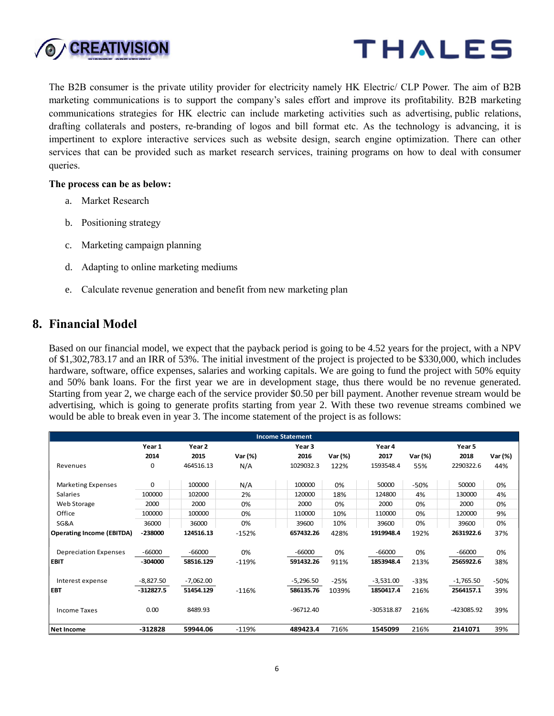



The B2B consumer is the private utility provider for electricity namely HK Electric/ CLP Power. The aim of B2B marketing communications is to support the company's sales effort and improve its profitability. B2B marketing communications strategies for HK electric can include marketing activities such as advertising, [public relations,](http://en.wikipedia.org/wiki/Public_relations) drafting collaterals and posters, re-branding of logos and bill format etc. As the technology is advancing, it is impertinent to explore interactive services such as website design, search engine optimization. There can other services that can be provided such as market research services, training programs on how to deal with consumer queries.

#### **The process can be as below:**

- a. Market Research
- b. Positioning strategy
- c. Marketing campaign planning
- d. Adapting to online marketing mediums
- e. Calculate revenue generation and benefit from new marketing plan

## **8. Financial Model**

Based on our financial model, we expect that the payback period is going to be 4.52 years for the project, with a NPV of \$1,302,783.17 and an IRR of 53%. The initial investment of the project is projected to be \$330,000, which includes hardware, software, office expenses, salaries and working capitals. We are going to fund the project with 50% equity and 50% bank loans. For the first year we are in development stage, thus there would be no revenue generated. Starting from year 2, we charge each of the service provider \$0.50 per bill payment. Another revenue stream would be would be able to break even in year 3. The income statement of the project is as follows:

| <b>Income Statement</b>          |             |             |         |             |         |              |         |             |         |
|----------------------------------|-------------|-------------|---------|-------------|---------|--------------|---------|-------------|---------|
|                                  | Year 1      | Year 2      |         | Year 3      |         | Year 4       |         | Year 5      |         |
|                                  | 2014        | 2015        | Var (%) | 2016        | Var (%) | 2017         | Var (%) | 2018        | Var (%) |
| Revenues                         | 0           | 464516.13   | N/A     | 1029032.3   | 122%    | 1593548.4    | 55%     | 2290322.6   | 44%     |
| <b>Marketing Expenses</b>        | 0           | 100000      | N/A     | 100000      | 0%      | 50000        | $-50%$  | 50000       | 0%      |
| <b>Salaries</b>                  | 100000      | 102000      | 2%      | 120000      | 18%     | 124800       | 4%      | 130000      | 4%      |
| Web Storage                      | 2000        | 2000        | 0%      | 2000        | 0%      | 2000         | 0%      | 2000        | 0%      |
| Office                           | 100000      | 100000      | 0%      | 110000      | 10%     | 110000       | 0%      | 120000      | 9%      |
| SG&A                             | 36000       | 36000       | 0%      | 39600       | 10%     | 39600        | 0%      | 39600       | 0%      |
| <b>Operating Income (EBITDA)</b> | $-238000$   | 124516.13   | $-152%$ | 657432.26   | 428%    | 1919948.4    | 192%    | 2631922.6   | 37%     |
| <b>Depreciation Expenses</b>     | $-66000$    | $-66000$    | 0%      | $-66000$    | 0%      | $-66000$     | 0%      | $-66000$    | 0%      |
| <b>EBIT</b>                      | $-304000$   | 58516.129   | $-119%$ | 591432.26   | 911%    | 1853948.4    | 213%    | 2565922.6   | 38%     |
| Interest expense                 | $-8,827.50$ | $-7,062.00$ |         | $-5,296.50$ | $-25%$  | $-3,531.00$  | $-33%$  | $-1,765.50$ | $-50%$  |
| <b>EBT</b>                       | $-312827.5$ | 51454.129   | $-116%$ | 586135.76   | 1039%   | 1850417.4    | 216%    | 2564157.1   | 39%     |
| <b>Income Taxes</b>              | 0.00        | 8489.93     |         | $-96712.40$ |         | $-305318.87$ | 216%    | -423085.92  | 39%     |
| <b>Net Income</b>                | $-312828$   | 59944.06    | $-119%$ | 489423.4    | 716%    | 1545099      | 216%    | 2141071     | 39%     |